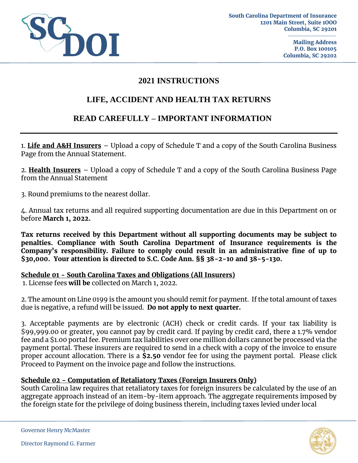

### **2021 INSTRUCTIONS**

# **LIFE, ACCIDENT AND HEALTH TAX RETURNS**

# **READ CAREFULLY – IMPORTANT INFORMATION**

1. **Life and A&H Insurers** – Upload a copy of Schedule T and a copy of the South Carolina Business Page from the Annual Statement.

2. **Health Insurers** – Upload a copy of Schedule T and a copy of the South Carolina Business Page from the Annual Statement

3. Round premiums to the nearest dollar.

4. Annual tax returns and all required supporting documentation are due in this Department on or before **March 1, 2022.** 

**Tax returns received by this Department without all supporting documents may be subject to penalties. Compliance with South Carolina Department of Insurance requirements is the Company's responsibility. Failure to comply could result in an administrative fine of up to \$30,000. Your attention is directed to S.C. Code Ann. §§ 38-2-10 and 38-5-130.** 

#### **Schedule 01 - South Carolina Taxes and Obligations (All Insurers)**

1. License fees **will be** collected on March 1, 2022.

2. The amount on Line 0199 is the amount you should remit for payment. If the total amount of taxes due is negative, a refund will be issued. **Do not apply to next quarter.**

3. Acceptable payments are by electronic (ACH) check or credit cards. If your tax liability is \$99,999.00 or greater, you cannot pay by credit card. If paying by credit card, there a 1.7% vendor fee and a \$1.00 portal fee. Premium tax liabilities over one million dollars cannot be processed via the payment portal. These insurers are required to send in a check with a copy of the invoice to ensure proper account allocation. There is a **\$2.50** vendor fee for using the payment portal. Please click Proceed to Payment on the invoice page and follow the instructions.

#### **Schedule 02 - Computation of Retaliatory Taxes (Foreign Insurers Only)**

South Carolina law requires that retaliatory taxes for foreign insurers be calculated by the use of an aggregate approach instead of an item-by-item approach. The aggregate requirements imposed by the foreign state for the privilege of doing business therein, including taxes levied under local

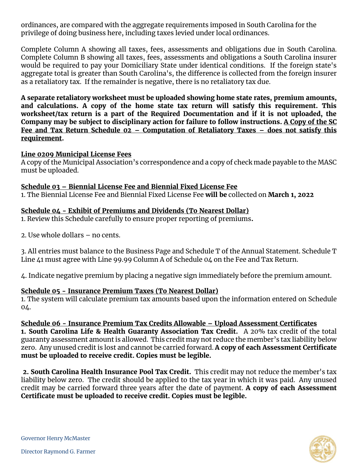ordinances, are compared with the aggregate requirements imposed in South Carolina for the privilege of doing business here, including taxes levied under local ordinances.

Complete Column A showing all taxes, fees, assessments and obligations due in South Carolina. Complete Column B showing all taxes, fees, assessments and obligations a South Carolina insurer would be required to pay your Domiciliary State under identical conditions. If the foreign state's aggregate total is greater than South Carolina's, the difference is collected from the foreign insurer as a retaliatory tax. If the remainder is negative, there is no retaliatory tax due.

**A separate retaliatory worksheet must be uploaded showing home state rates, premium amounts, and calculations. A copy of the home state tax return will satisfy this requirement. This worksheet/tax return is a part of the Required Documentation and if it is not uploaded, the Company may be subject to disciplinary action for failure to follow instructions. A Copy of the SC Fee and Tax Return Schedule 02 – Computation of Retaliatory Taxes – does not satisfy this requirement.** 

#### **Line 0209 Municipal License Fees**

A copy of the Municipal Association's correspondence and a copy of check made payable to the MASC must be uploaded.

#### **Schedule 03 – Biennial License Fee and Biennial Fixed License Fee**

1. The Biennial License Fee and Biennial Fixed License Fee **will be** collected on **March 1, 2022**

### **Schedule 04 - Exhibit of Premiums and Dividends (To Nearest Dollar)**

1. Review this Schedule carefully to ensure proper reporting of premiums**.** 

2. Use whole dollars – no cents.

3. All entries must balance to the Business Page and Schedule T of the Annual Statement. Schedule T Line 41 must agree with Line 99.99 Column A of Schedule 04 on the Fee and Tax Return.

4. Indicate negative premium by placing a negative sign immediately before the premium amount.

#### **Schedule 05 - Insurance Premium Taxes (To Nearest Dollar)**

1. The system will calculate premium tax amounts based upon the information entered on Schedule 04.

**Schedule 06 - Insurance Premium Tax Credits Allowable – Upload Assessment Certificates 1. South Carolina Life & Health Guaranty Association Tax Credit.** A 20% tax credit of the total guaranty assessment amount is allowed. This credit may not reduce the member's tax liability below zero. Any unused credit is lost and cannot be carried forward. **A copy of each Assessment Certificate must be uploaded to receive credit. Copies must be legible.** 

**2. South Carolina Health Insurance Pool Tax Credit.** This credit may not reduce the member's tax liability below zero. The credit should be applied to the tax year in which it was paid. Any unused credit may be carried forward three years after the date of payment. **A copy of each Assessment Certificate must be uploaded to receive credit. Copies must be legible.** 



Governor Henry McMaster